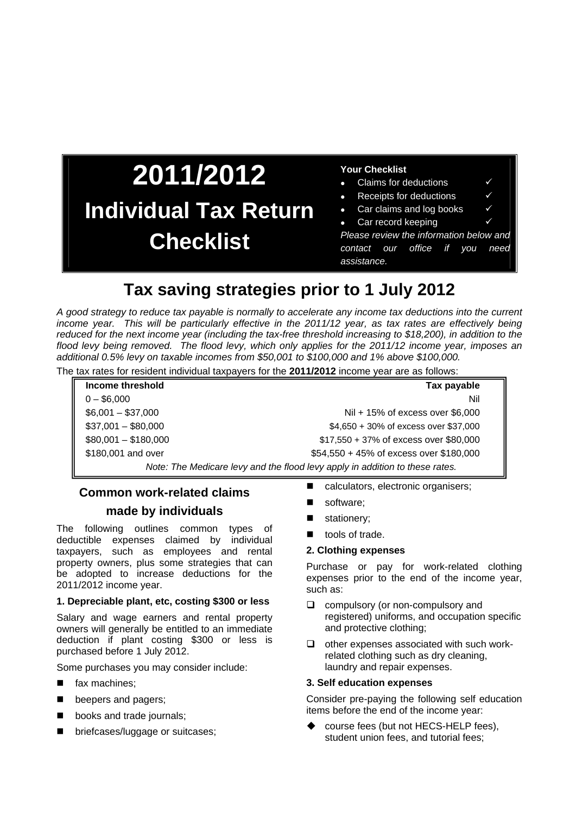## **2011/2012 Individual Tax Return Checklist**

### **Your Checklist**

- Claims for deductions
- Receipts for deductions
- Car claims and log books **√**
- Car record keeping

*Please review the information below and contact our office if you need assistance.*

### **Tax saving strategies prior to 1 July 2012**

*A good strategy to reduce tax payable is normally to accelerate any income tax deductions into the current income year. This will be particularly effective in the 2011/12 year, as tax rates are effectively being reduced for the next income year (including the tax-free threshold increasing to \$18,200), in addition to the flood levy being removed. The flood levy, which only applies for the 2011/12 income year, imposes an additional 0.5% levy on taxable incomes from \$50,001 to \$100,000 and 1% above \$100,000.* The tax rates for resident individual taxpayers for the **2011/2012** income year are as follows:

| $\epsilon$ tax rates for resident individual taxpayers for the <b>ZUTT/ZUTZ</b> income year are as follows. |                                         |
|-------------------------------------------------------------------------------------------------------------|-----------------------------------------|
| Income threshold                                                                                            | Tax payable                             |
| $0 - $6,000$                                                                                                | Nil                                     |
| $$6,001 - $37,000$                                                                                          | Nil + 15% of excess over \$6,000        |
| $$37,001 - $80,000$                                                                                         | \$4,650 + 30% of excess over \$37,000   |
| $$80,001 - $180,000$                                                                                        | \$17,550 + 37% of excess over \$80,000  |
| \$180,001 and over                                                                                          | \$54,550 + 45% of excess over \$180,000 |
| Note: The Medicare levy and the flood levy apply in addition to these rates.                                |                                         |

### **Common work-related claims**

### **made by individuals**

The following outlines common types of deductible expenses claimed by individual taxpayers, such as employees and rental property owners, plus some strategies that can be adopted to increase deductions for the 2011/2012 income year.

### **1. Depreciable plant, etc, costing \$300 or less**

Salary and wage earners and rental property owners will generally be entitled to an immediate deduction if plant costing \$300 or less is purchased before 1 July 2012.

Some purchases you may consider include:

- fax machines;
- **Deepers and pagers;**
- **books and trade journals;**
- **Delacherry briefcases/luggage or suitcases;**
- calculators, electronic organisers;
- software;
- stationery;
- tools of trade.

### **2. Clothing expenses**

Purchase or pay for work-related clothing expenses prior to the end of the income year, such as:

- $\Box$  compulsory (or non-compulsory and registered) uniforms, and occupation specific and protective clothing;
- $\Box$  other expenses associated with such workrelated clothing such as dry cleaning, laundry and repair expenses.

### **3. Self education expenses**

Consider pre-paying the following self education items before the end of the income year:

 course fees (but not HECS-HELP fees), student union fees, and tutorial fees;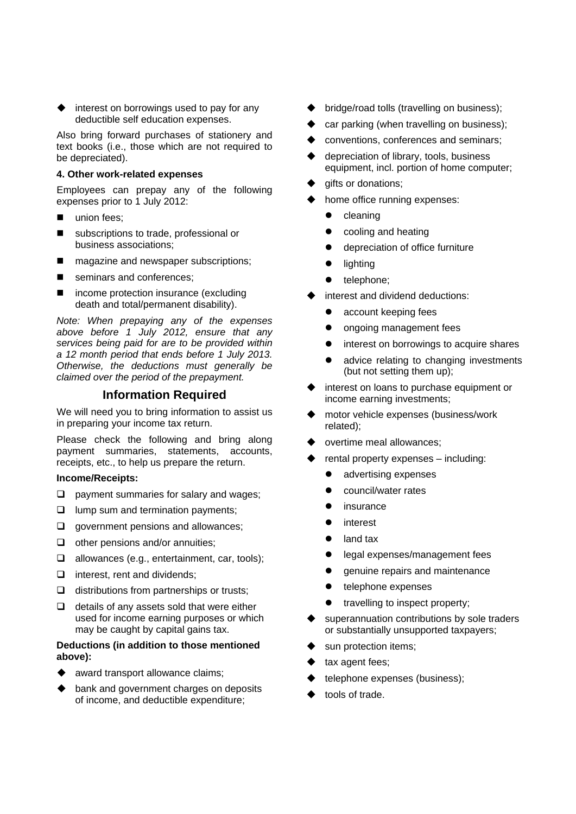interest on borrowings used to pay for any deductible self education expenses.

Also bring forward purchases of stationery and text books (i.e., those which are not required to be depreciated).

### **4. Other work-related expenses**

Employees can prepay any of the following expenses prior to 1 July 2012:

- union fees;
- subscriptions to trade, professional or business associations;
- magazine and newspaper subscriptions;
- seminars and conferences;
- income protection insurance (excluding death and total/permanent disability).

*Note: When prepaying any of the expenses above before 1 July 2012, ensure that any services being paid for are to be provided within a 12 month period that ends before 1 July 2013. Otherwise, the deductions must generally be claimed over the period of the prepayment.* 

### **Information Required**

We will need you to bring information to assist us in preparing your income tax return.

Please check the following and bring along payment summaries, statements, accounts, receipts, etc., to help us prepare the return.

#### **Income/Receipts:**

- $\Box$  payment summaries for salary and wages;
- $\Box$  lump sum and termination payments;
- $\Box$  government pensions and allowances;
- $\Box$  other pensions and/or annuities:
- $\Box$  allowances (e.g., entertainment, car, tools);
- $\Box$  interest, rent and dividends;
- $\Box$  distributions from partnerships or trusts;
- $\Box$  details of any assets sold that were either used for income earning purposes or which may be caught by capital gains tax.

### **Deductions (in addition to those mentioned above):**

- award transport allowance claims;
- bank and government charges on deposits of income, and deductible expenditure;
- bridge/road tolls (travelling on business);
- car parking (when travelling on business);
- conventions, conferences and seminars;
- depreciation of library, tools, business equipment, incl. portion of home computer;
- gifts or donations;
- home office running expenses:
	- $\bullet$  cleaning
	- cooling and heating
	- depreciation of office furniture
	- lighting
	- telephone;
- interest and dividend deductions:
	- account keeping fees
	- ongoing management fees
	- interest on borrowings to acquire shares
	- advice relating to changing investments (but not setting them up);
- interest on loans to purchase equipment or income earning investments;
- motor vehicle expenses (business/work related);
- overtime meal allowances;
- rental property expenses including:
	- advertising expenses
	- council/water rates
	- insurance
	- interest
	- land tax
	- legal expenses/management fees
	- genuine repairs and maintenance
	- telephone expenses
	- travelling to inspect property;
- superannuation contributions by sole traders or substantially unsupported taxpayers;
- sun protection items;
- tax agent fees;
- telephone expenses (business);
- tools of trade.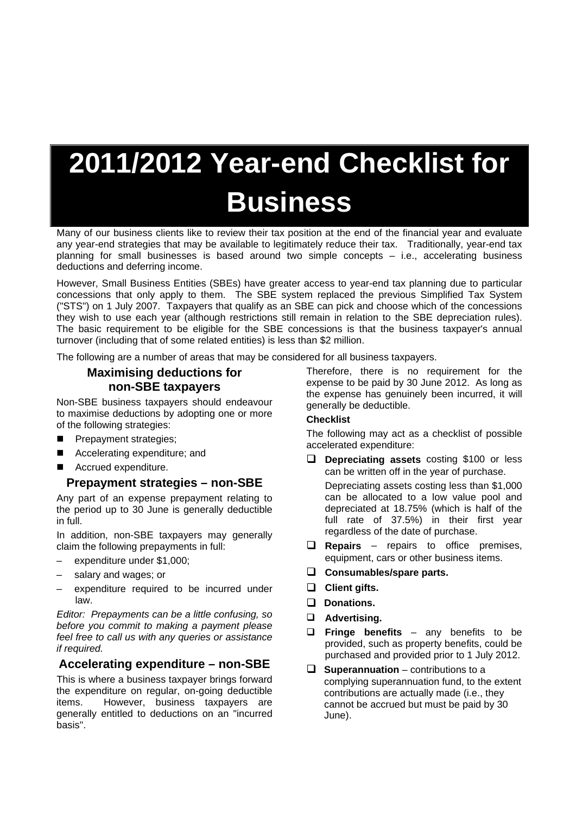# **2011/2012 Year-end Checklist for Business**

Many of our business clients like to review their tax position at the end of the financial year and evaluate any year-end strategies that may be available to legitimately reduce their tax. Traditionally, year-end tax planning for small businesses is based around two simple concepts – i.e., accelerating business deductions and deferring income.

However, Small Business Entities (SBEs) have greater access to year-end tax planning due to particular concessions that only apply to them. The SBE system replaced the previous Simplified Tax System ("STS") on 1 July 2007. Taxpayers that qualify as an SBE can pick and choose which of the concessions they wish to use each year (although restrictions still remain in relation to the SBE depreciation rules). The basic requirement to be eligible for the SBE concessions is that the business taxpayer's annual turnover (including that of some related entities) is less than \$2 million.

The following are a number of areas that may be considered for all business taxpayers.

### **Maximising deductions for non-SBE taxpayers**

Non-SBE business taxpayers should endeavour to maximise deductions by adopting one or more of the following strategies:

- **Prepayment strategies;**
- Accelerating expenditure; and
- Accrued expenditure.

### **Prepayment strategies – non-SBE**

Any part of an expense prepayment relating to the period up to 30 June is generally deductible in full.

In addition, non-SBE taxpayers may generally claim the following prepayments in full:

- expenditure under \$1,000;
- salary and wages; or
- expenditure required to be incurred under law.

*Editor: Prepayments can be a little confusing, so before you commit to making a payment please feel free to call us with any queries or assistance if required.* 

### **Accelerating expenditure – non-SBE**

This is where a business taxpayer brings forward the expenditure on regular, on-going deductible items. However, business taxpayers are generally entitled to deductions on an "incurred basis".

Therefore, there is no requirement for the expense to be paid by 30 June 2012. As long as the expense has genuinely been incurred, it will generally be deductible.

### **Checklist**

The following may act as a checklist of possible accelerated expenditure:

**Depreciating assets** costing \$100 or less can be written off in the year of purchase.

 Depreciating assets costing less than \$1,000 can be allocated to a low value pool and depreciated at 18.75% (which is half of the full rate of 37.5%) in their first year regardless of the date of purchase.

- **Repairs**  repairs to office premises, equipment, cars or other business items.
- **Consumables/spare parts.**
- **Client gifts.**
- **Donations.**
- **Advertising.**
- **Fringe benefits**  any benefits to be provided, such as property benefits, could be purchased and provided prior to 1 July 2012.
- □ **Superannuation** contributions to a complying superannuation fund, to the extent contributions are actually made (i.e., they cannot be accrued but must be paid by 30 June).